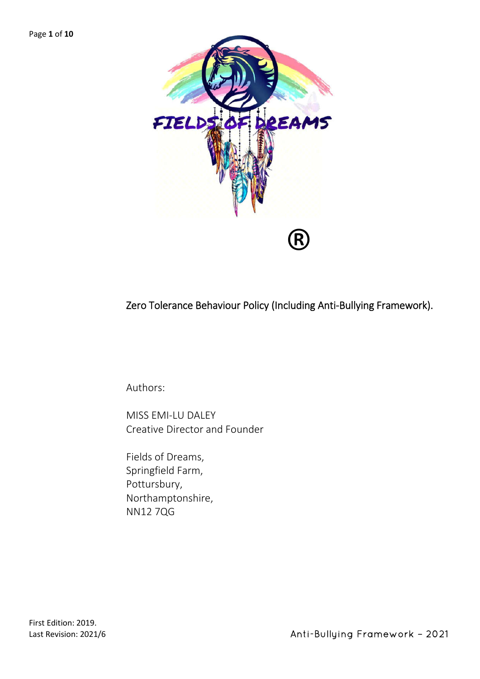

Zero Tolerance Behaviour Policy (Including Anti-Bullying Framework).

Authors:

MISS EMI-LU DALEY Creative Director and Founder

Fields of Dreams, Springfield Farm, Pottursbury, Northamptonshire, NN12 7QG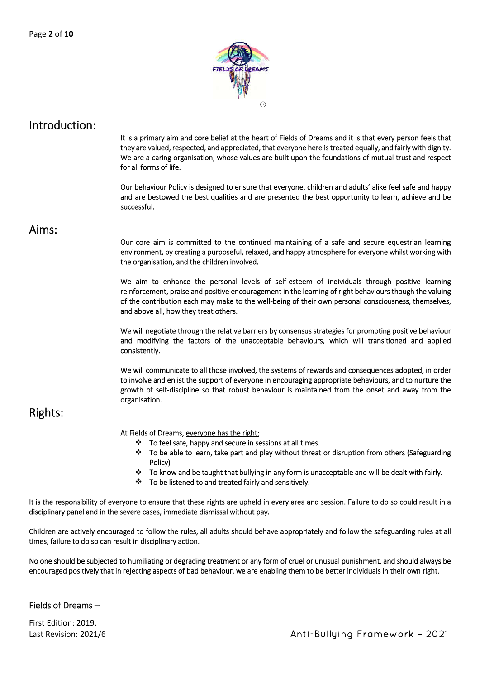

Introduction: It is a primary aim and core belief at the heart of Fields of Dreams and it is that every person feels that they are valued, respected, and appreciated, that everyone here is treated equally, and fairly with dignity. We are a caring organisation, whose values are built upon the foundations of mutual trust and respect for all forms of life.

> Our behaviour Policy is designed to ensure that everyone, children and adults' alike feel safe and happy and are bestowed the best qualities and are presented the best opportunity to learn, achieve and be successful.

Aims: Our core aim is committed to the continued maintaining of a safe and secure equestrian learning environment, by creating a purposeful, relaxed, and happy atmosphere for everyone whilst working with the organisation, and the children involved.

> We aim to enhance the personal levels of self-esteem of individuals through positive learning reinforcement, praise and positive encouragement in the learning of right behaviours though the valuing of the contribution each may make to the well-being of their own personal consciousness, themselves, and above all, how they treat others.

> We will negotiate through the relative barriers by consensus strategies for promoting positive behaviour and modifying the factors of the unacceptable behaviours, which will transitioned and applied consistently.

> We will communicate to all those involved, the systems of rewards and consequences adopted, in order to involve and enlist the support of everyone in encouraging appropriate behaviours, and to nurture the growth of self-discipline so that robust behaviour is maintained from the onset and away from the organisation.

# Rights:

At Fields of Dreams, everyone has the right:

- $\div$  To feel safe, happy and secure in sessions at all times.
- To be able to learn, take part and play without threat or disruption from others (Safeguarding Policy)
- To know and be taught that bullying in any form is unacceptable and will be dealt with fairly.
- To be listened to and treated fairly and sensitively.

It is the responsibility of everyone to ensure that these rights are upheld in every area and session. Failure to do so could result in a disciplinary panel and in the severe cases, immediate dismissal without pay.

Children are actively encouraged to follow the rules, all adults should behave appropriately and follow the safeguarding rules at all times, failure to do so can result in disciplinary action.

No one should be subjected to humiliating or degrading treatment or any form of cruel or unusual punishment, and should always be encouraged positively that in rejecting aspects of bad behaviour, we are enabling them to be better individuals in their own right.

#### Fields of Dreams –

First Edition: 2019.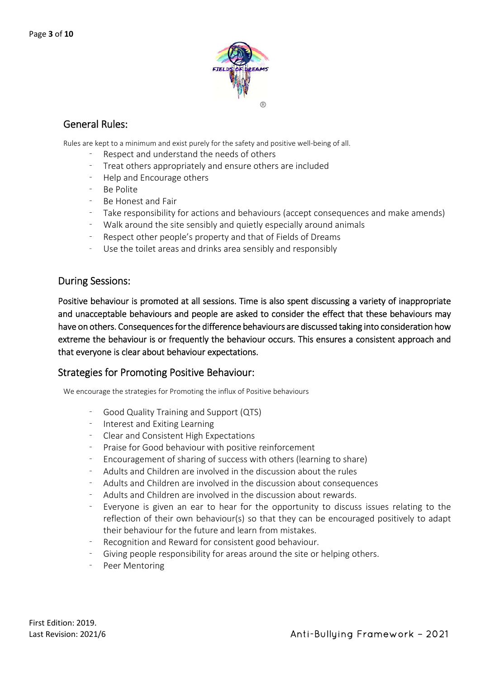

## General Rules:

Rules are kept to a minimum and exist purely for the safety and positive well-being of all.

- Respect and understand the needs of others
- Treat others appropriately and ensure others are included
- Help and Encourage others
- Be Polite
- Be Honest and Fair
- Take responsibility for actions and behaviours (accept consequences and make amends)
- Walk around the site sensibly and quietly especially around animals
- Respect other people's property and that of Fields of Dreams
- Use the toilet areas and drinks area sensibly and responsibly

#### During Sessions:

Positive behaviour is promoted at all sessions. Time is also spent discussing a variety of inappropriate and unacceptable behaviours and people are asked to consider the effect that these behaviours may have on others. Consequences for the difference behaviours are discussed taking into consideration how extreme the behaviour is or frequently the behaviour occurs. This ensures a consistent approach and that everyone is clear about behaviour expectations.

### Strategies for Promoting Positive Behaviour:

We encourage the strategies for Promoting the influx of Positive behaviours

- Good Quality Training and Support (QTS)
- Interest and Exiting Learning
- Clear and Consistent High Expectations
- Praise for Good behaviour with positive reinforcement
- Encouragement of sharing of success with others (learning to share)
- Adults and Children are involved in the discussion about the rules
- Adults and Children are involved in the discussion about consequences
- Adults and Children are involved in the discussion about rewards.
- Everyone is given an ear to hear for the opportunity to discuss issues relating to the reflection of their own behaviour(s) so that they can be encouraged positively to adapt their behaviour for the future and learn from mistakes.
- Recognition and Reward for consistent good behaviour.
- Giving people responsibility for areas around the site or helping others.
- Peer Mentoring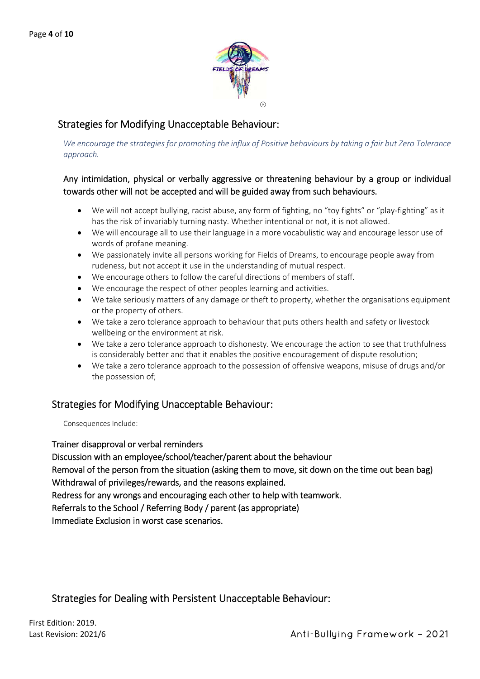

# Strategies for Modifying Unacceptable Behaviour:

*We encourage the strategies for promoting the influx of Positive behaviours by taking a fair but Zero Tolerance approach.*

#### Any intimidation, physical or verbally aggressive or threatening behaviour by a group or individual towards other will not be accepted and will be guided away from such behaviours.

- We will not accept bullying, racist abuse, any form of fighting, no "toy fights" or "play-fighting" as it has the risk of invariably turning nasty. Whether intentional or not, it is not allowed.
- We will encourage all to use their language in a more vocabulistic way and encourage lessor use of words of profane meaning.
- We passionately invite all persons working for Fields of Dreams, to encourage people away from rudeness, but not accept it use in the understanding of mutual respect.
- We encourage others to follow the careful directions of members of staff.
- We encourage the respect of other peoples learning and activities.
- We take seriously matters of any damage or theft to property, whether the organisations equipment or the property of others.
- We take a zero tolerance approach to behaviour that puts others health and safety or livestock wellbeing or the environment at risk.
- We take a zero tolerance approach to dishonesty. We encourage the action to see that truthfulness is considerably better and that it enables the positive encouragement of dispute resolution;
- We take a zero tolerance approach to the possession of offensive weapons, misuse of drugs and/or the possession of;

### Strategies for Modifying Unacceptable Behaviour:

Consequences Include:

#### Trainer disapproval or verbal reminders

Discussion with an employee/school/teacher/parent about the behaviour Removal of the person from the situation (asking them to move, sit down on the time out bean bag) Withdrawal of privileges/rewards, and the reasons explained. Redress for any wrongs and encouraging each other to help with teamwork. Referrals to the School / Referring Body / parent (as appropriate)

Immediate Exclusion in worst case scenarios.

# Strategies for Dealing with Persistent Unacceptable Behaviour: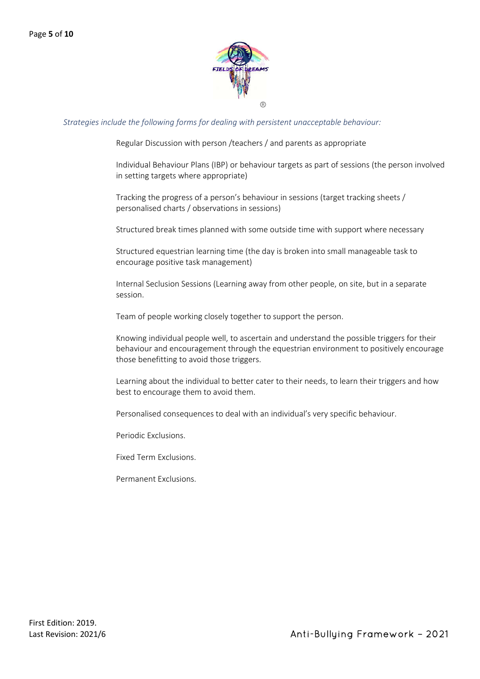

#### *Strategies include the following forms for dealing with persistent unacceptable behaviour:*

Regular Discussion with person /teachers / and parents as appropriate

Individual Behaviour Plans (IBP) or behaviour targets as part of sessions (the person involved in setting targets where appropriate)

Tracking the progress of a person's behaviour in sessions (target tracking sheets / personalised charts / observations in sessions)

Structured break times planned with some outside time with support where necessary

Structured equestrian learning time (the day is broken into small manageable task to encourage positive task management)

Internal Seclusion Sessions (Learning away from other people, on site, but in a separate session.

Team of people working closely together to support the person.

Knowing individual people well, to ascertain and understand the possible triggers for their behaviour and encouragement through the equestrian environment to positively encourage those benefitting to avoid those triggers.

Learning about the individual to better cater to their needs, to learn their triggers and how best to encourage them to avoid them.

Personalised consequences to deal with an individual's very specific behaviour.

Periodic Exclusions.

Fixed Term Exclusions.

Permanent Exclusions.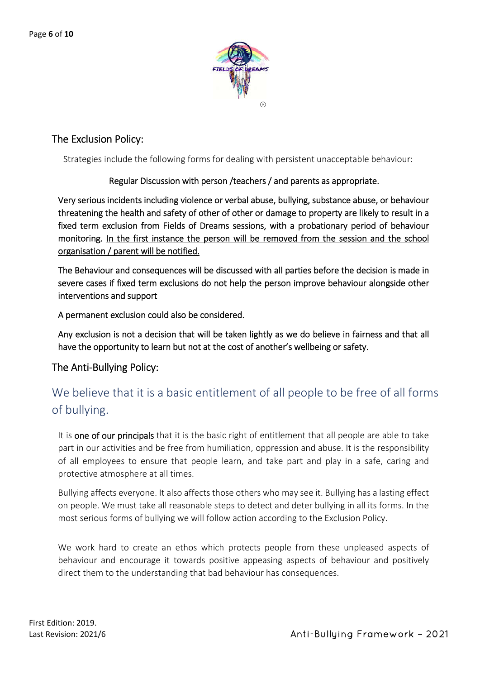

# The Exclusion Policy:

Strategies include the following forms for dealing with persistent unacceptable behaviour:

#### Regular Discussion with person /teachers / and parents as appropriate.

Very serious incidents including violence or verbal abuse, bullying, substance abuse, or behaviour threatening the health and safety of other of other or damage to property are likely to result in a fixed term exclusion from Fields of Dreams sessions, with a probationary period of behaviour monitoring. In the first instance the person will be removed from the session and the school organisation / parent will be notified.

The Behaviour and consequences will be discussed with all parties before the decision is made in severe cases if fixed term exclusions do not help the person improve behaviour alongside other interventions and support

A permanent exclusion could also be considered.

Any exclusion is not a decision that will be taken lightly as we do believe in fairness and that all have the opportunity to learn but not at the cost of another's wellbeing or safety.

#### The Anti-Bullying Policy:

# We believe that it is a basic entitlement of all people to be free of all forms of bullying.

It is one of our principals that it is the basic right of entitlement that all people are able to take part in our activities and be free from humiliation, oppression and abuse. It is the responsibility of all employees to ensure that people learn, and take part and play in a safe, caring and protective atmosphere at all times.

Bullying affects everyone. It also affects those others who may see it. Bullying has a lasting effect on people. We must take all reasonable steps to detect and deter bullying in all its forms. In the most serious forms of bullying we will follow action according to the Exclusion Policy.

We work hard to create an ethos which protects people from these unpleased aspects of behaviour and encourage it towards positive appeasing aspects of behaviour and positively direct them to the understanding that bad behaviour has consequences.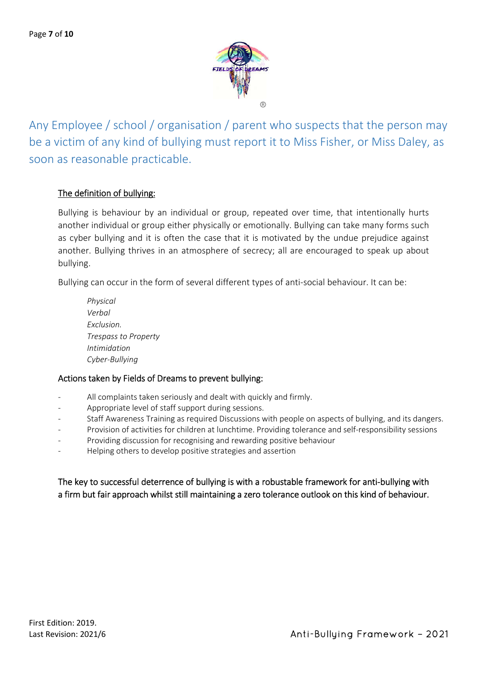

Any Employee / school / organisation / parent who suspects that the person may be a victim of any kind of bullying must report it to Miss Fisher, or Miss Daley, as soon as reasonable practicable.

#### The definition of bullying:

Bullying is behaviour by an individual or group, repeated over time, that intentionally hurts another individual or group either physically or emotionally. Bullying can take many forms such as cyber bullying and it is often the case that it is motivated by the undue prejudice against another. Bullying thrives in an atmosphere of secrecy; all are encouraged to speak up about bullying.

Bullying can occur in the form of several different types of anti-social behaviour. It can be:

*Physical Verbal Exclusion. Trespass to Property Intimidation Cyber-Bullying*

#### Actions taken by Fields of Dreams to prevent bullying:

- All complaints taken seriously and dealt with quickly and firmly.
- Appropriate level of staff support during sessions.
- Staff Awareness Training as required Discussions with people on aspects of bullying, and its dangers.
- Provision of activities for children at lunchtime. Providing tolerance and self-responsibility sessions
- Providing discussion for recognising and rewarding positive behaviour
- Helping others to develop positive strategies and assertion

### The key to successful deterrence of bullying is with a robustable framework for anti-bullying with a firm but fair approach whilst still maintaining a zero tolerance outlook on this kind of behaviour.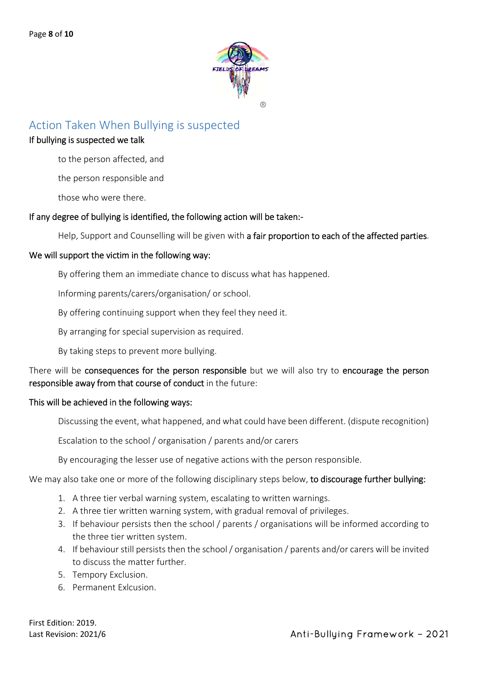

# Action Taken When Bullying is suspected

#### If bullying is suspected we talk

to the person affected, and

the person responsible and

those who were there.

#### If any degree of bullying is identified, the following action will be taken:-

Help, Support and Counselling will be given with a fair proportion to each of the affected parties.

#### We will support the victim in the following way:

By offering them an immediate chance to discuss what has happened.

Informing parents/carers/organisation/ or school.

By offering continuing support when they feel they need it.

By arranging for special supervision as required.

By taking steps to prevent more bullying.

There will be consequences for the person responsible but we will also try to encourage the person responsible away from that course of conduct in the future:

#### This will be achieved in the following ways:

Discussing the event, what happened, and what could have been different. (dispute recognition)

Escalation to the school / organisation / parents and/or carers

By encouraging the lesser use of negative actions with the person responsible.

We may also take one or more of the following disciplinary steps below, to discourage further bullying:

- 1. A three tier verbal warning system, escalating to written warnings.
- 2. A three tier written warning system, with gradual removal of privileges.
- 3. If behaviour persists then the school / parents / organisations will be informed according to the three tier written system.
- 4. If behaviour still persists then the school / organisation / parents and/or carers will be invited to discuss the matter further.
- 5. Tempory Exclusion.
- 6. Permanent Exlcusion.

First Edition: 2019.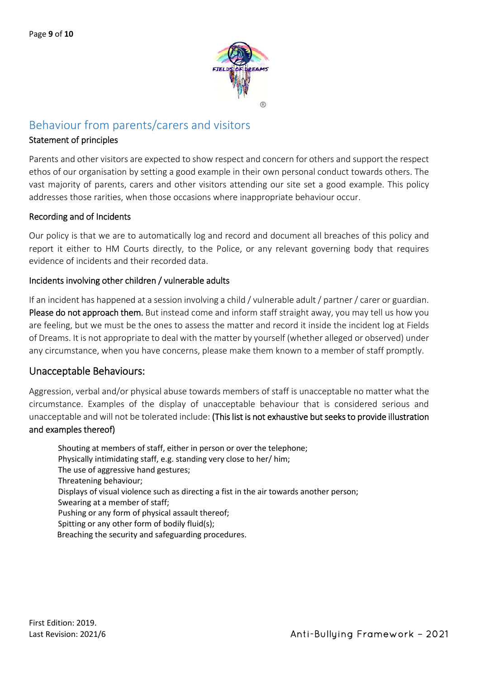

# Behaviour from parents/carers and visitors

#### Statement of principles

Parents and other visitors are expected to show respect and concern for others and support the respect ethos of our organisation by setting a good example in their own personal conduct towards others. The vast majority of parents, carers and other visitors attending our site set a good example. This policy addresses those rarities, when those occasions where inappropriate behaviour occur.

#### Recording and of Incidents

Our policy is that we are to automatically log and record and document all breaches of this policy and report it either to HM Courts directly, to the Police, or any relevant governing body that requires evidence of incidents and their recorded data.

#### Incidents involving other children / vulnerable adults

If an incident has happened at a session involving a child / vulnerable adult / partner / carer or guardian. Please do not approach them. But instead come and inform staff straight away, you may tell us how you are feeling, but we must be the ones to assess the matter and record it inside the incident log at Fields of Dreams. It is not appropriate to deal with the matter by yourself (whether alleged or observed) under any circumstance, when you have concerns, please make them known to a member of staff promptly.

#### Unacceptable Behaviours:

Aggression, verbal and/or physical abuse towards members of staff is unacceptable no matter what the circumstance. Examples of the display of unacceptable behaviour that is considered serious and unacceptable and will not be tolerated include: (This list is not exhaustive but seeks to provide illustration and examples thereof)

Shouting at members of staff, either in person or over the telephone; Physically intimidating staff, e.g. standing very close to her/ him; The use of aggressive hand gestures; Threatening behaviour; Displays of visual violence such as directing a fist in the air towards another person; Swearing at a member of staff; Pushing or any form of physical assault thereof; Spitting or any other form of bodily fluid(s); Breaching the security and safeguarding procedures.